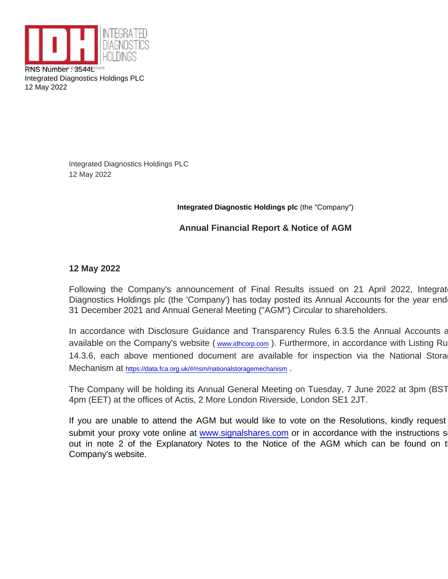RNS Nuthwet or 3544 pknown Integrated Diagnostics Holdings PLC 12 May 2022

> Integrated Diagnostics Holdings PLC 12 May 2022

> > Integrated Diagnostic Holdings plc (the "Company")

Annual Financial Report & Notice of AGM

12 May 2022

Following the Company's announcement of Final Results issued on 21 April 2022, Integrat Diagnostics Holdings plc (the 'Company') has today posted its Annual Accounts for the year end 31 December 2021 and Annual General Meeting ("AGM") Circular to shareholders.

In accordance with Disclosure Guidance and Transparency Rules 6.3.5 the Annual Accounts a available on the Company's website ( [www.idhcorp.com](http://www.idhcorp.com/) ). Furthermore, in accordance with Listing Ru 14.3.6, each above mentioned document are available for inspection via the National Stora Mechanism at <https://data.fca.org.uk/#/nsm/nationalstoragemechanism> .

The Company will be holding its Annual General Meeting on Tuesday, 7 June 2022 at 3pm (BST) / 4pm (EET) at the offices of Actis, 2 More London Riverside, London SE1 2JT.

If you are unable to attend the AGM but would like to vote on the Resolutions, kindly request submit your proxy vote online at [www.signalshares.com](http://www.signalshares.com) or in accordance with the instructions s out in note 2 of the Explanatory Notes to the Notice of the AGM which can be found on t Company's website.